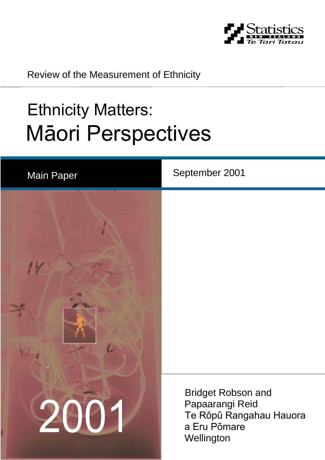

Review of the Measurement of Ethnicity

# Ethnicity Matters: Mäori Perspectives

| <b>Main Paper</b> | September 2001                                                                                        |
|-------------------|-------------------------------------------------------------------------------------------------------|
| L<br>$V_{\nu}$    |                                                                                                       |
| 2001              | <b>Bridget Robson and</b><br>Papaarangi Reid<br>Te Rōpū Rangahau Hauora<br>a Eru Pōmare<br>Wellington |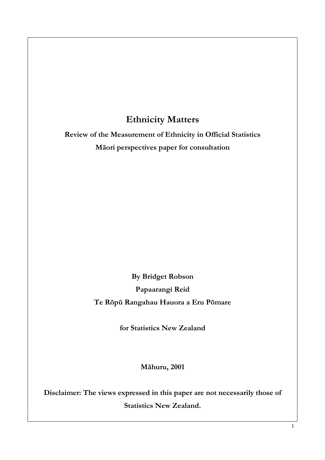# Ethnicity Matters

Review of the Measurement of Ethnicity in Official Statistics Mäori perspectives paper for consultation

> By Bridget Robson Papaarangi Reid Te Röpü Rangahau Hauora a Eru Pömare

> > for Statistics New Zealand

Mähuru, 2001

Disclaimer: The views expressed in this paper are not necessarily those of Statistics New Zealand.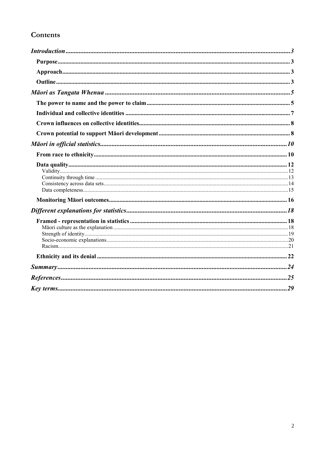# Contents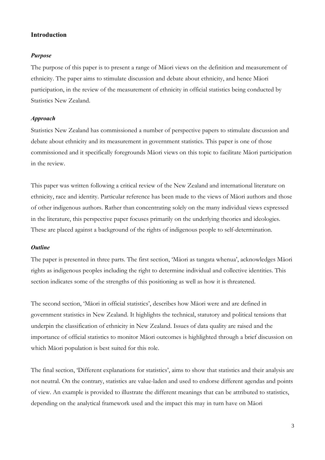# Introduction

# *Purpose*

The purpose of this paper is to present a range of Mäori views on the definition and measurement of ethnicity. The paper aims to stimulate discussion and debate about ethnicity, and hence Mäori participation, in the review of the measurement of ethnicity in official statistics being conducted by Statistics New Zealand.

## *Approach*

Statistics New Zealand has commissioned a number of perspective papers to stimulate discussion and debate about ethnicity and its measurement in government statistics. This paper is one of those commissioned and it specifically foregrounds Mäori views on this topic to facilitate Mäori participation in the review.

This paper was written following a critical review of the New Zealand and international literature on ethnicity, race and identity. Particular reference has been made to the views of Mäori authors and those of other indigenous authors. Rather than concentrating solely on the many individual views expressed in the literature, this perspective paper focuses primarily on the underlying theories and ideologies. These are placed against a background of the rights of indigenous people to self-determination.

# *Outline*

The paper is presented in three parts. The first section, 'Mäori as tangata whenua', acknowledges Mäori rights as indigenous peoples including the right to determine individual and collective identities. This section indicates some of the strengths of this positioning as well as how it is threatened.

The second section, 'Mäori in official statistics', describes how Mäori were and are defined in government statistics in New Zealand. It highlights the technical, statutory and political tensions that underpin the classification of ethnicity in New Zealand. Issues of data quality are raised and the importance of official statistics to monitor Mäori outcomes is highlighted through a brief discussion on which Mäori population is best suited for this role.

The final section, 'Different explanations for statistics', aims to show that statistics and their analysis are not neutral. On the contrary, statistics are value-laden and used to endorse different agendas and points of view. An example is provided to illustrate the different meanings that can be attributed to statistics, depending on the analytical framework used and the impact this may in turn have on Mäori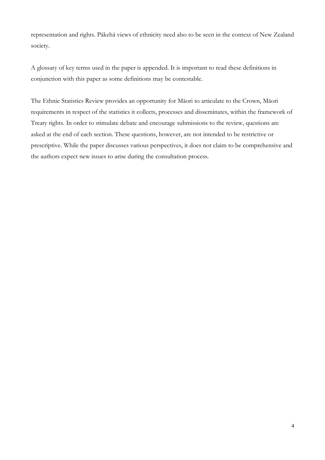representation and rights. Päkehä views of ethnicity need also to be seen in the context of New Zealand society.

A glossary of key terms used in the paper is appended. It is important to read these definitions in conjunction with this paper as some definitions may be contestable.

The Ethnic Statistics Review provides an opportunity for Mäori to articulate to the Crown, Mäori requirements in respect of the statistics it collects, processes and disseminates, within the framework of Treaty rights. In order to stimulate debate and encourage submissions to the review, questions are asked at the end of each section. These questions, however, are not intended to be restrictive or prescriptive. While the paper discusses various perspectives, it does not claim to be comprehensive and the authors expect new issues to arise during the consultation process.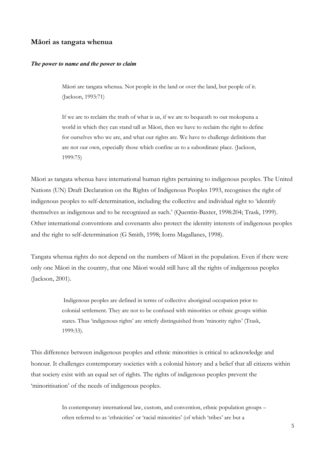# Mäori as tangata whenua

#### *The power to name and the power to claim*

Mäori are tangata whenua. Not people in the land or over the land, but people of it. (Jackson, 1993:71)

If we are to reclaim the truth of what is us, if we are to bequeath to our mokopuna a world in which they can stand tall as Mäori, then we have to reclaim the right to define for ourselves who we are, and what our rights are. We have to challenge definitions that are not our own, especially those which confine us to a subordinate place. (Jackson, 1999:75)

Mäori as tangata whenua have international human rights pertaining to indigenous peoples. The United Nations (UN) Draft Declaration on the Rights of Indigenous Peoples 1993, recognises the right of indigenous peoples to self-determination, including the collective and individual right to 'identify themselves as indigenous and to be recognized as such.' (Quentin-Baxter, 1998:204; Trask, 1999). Other international conventions and covenants also protect the identity interests of indigenous peoples and the right to self-determination (G Smith, 1998; Iorns Magallanes, 1998).

Tangata whenua rights do not depend on the numbers of Mäori in the population. Even if there were only one Mäori in the country, that one Mäori would still have all the rights of indigenous peoples (Jackson, 2001).

> Indigenous peoples are defined in terms of collective aboriginal occupation prior to colonial settlement. They are not to be confused with minorities or ethnic groups within states. Thus 'indigenous rights' are strictly distinguished from 'minority rights' (Trask, 1999:33).

This difference between indigenous peoples and ethnic minorities is critical to acknowledge and honour. It challenges contemporary societies with a colonial history and a belief that all citizens within that society exist with an equal set of rights. The rights of indigenous peoples prevent the 'minoritisation' of the needs of indigenous peoples.

> In contemporary international law, custom, and convention, ethnic population groups – often referred to as 'ethnicities' or 'racial minorities' (of which 'tribes' are but a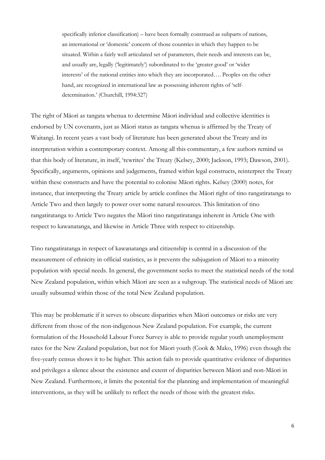specifically inferior classification) – have been formally construed as subparts of nations, an international or 'domestic' concern of those countries in which they happen to be situated. Within a fairly well articulated set of parameters, their needs and interests can be, and usually are, legally ('legitimately') subordinated to the 'greater good' or 'wider interests' of the national entities into which they are incorporated…. Peoples on the other hand, are recognized in international law as possessing inherent rights of 'selfdetermination.' (Churchill, 1994:327)

The right of Mäori as tangata whenua to determine Mäori individual and collective identities is endorsed by UN covenants, just as Mäori status as tangata whenua is affirmed by the Treaty of Waitangi. In recent years a vast body of literature has been generated about the Treaty and its interpretation within a contemporary context. Among all this commentary, a few authors remind us that this body of literature, in itself, 'rewrites' the Treaty (Kelsey, 2000; Jackson, 1993; Dawson, 2001). Specifically, arguments, opinions and judgements, framed within legal constructs, reinterpret the Treaty within these constructs and have the potential to colonise Mäori rights. Kelsey (2000) notes, for instance, that interpreting the Treaty article by article confines the Mäori right of tino rangatiratanga to Article Two and then largely to power over some natural resources. This limitation of tino rangatiratanga to Article Two negates the Mäori tino rangatiratanga inherent in Article One with respect to kawanatanga, and likewise in Article Three with respect to citizenship.

Tino rangatiratanga in respect of kawanatanga and citizenship is central in a discussion of the measurement of ethnicity in official statistics, as it prevents the subjugation of Mäori to a minority population with special needs. In general, the government seeks to meet the statistical needs of the total New Zealand population, within which Mäori are seen as a subgroup. The statistical needs of Mäori are usually subsumed within those of the total New Zealand population.

This may be problematic if it serves to obscure disparities when Mäori outcomes or risks are very different from those of the non-indigenous New Zealand population. For example, the current formulation of the Household Labour Force Survey is able to provide regular youth unemployment rates for the New Zealand population, but not for Mäori youth (Cook & Mako, 1996) even though the five-yearly census shows it to be higher. This action fails to provide quantitative evidence of disparities and privileges a silence about the existence and extent of disparities between Mäori and non-Mäori in New Zealand. Furthermore, it limits the potential for the planning and implementation of meaningful interventions, as they will be unlikely to reflect the needs of those with the greatest risks.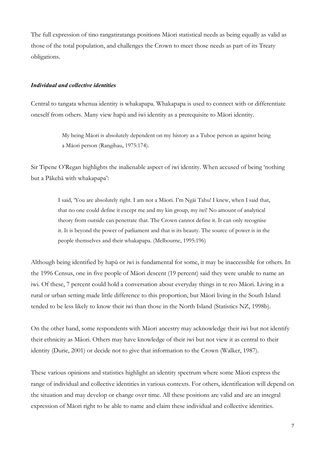The full expression of tino rangatiratanga positions Mäori statistical needs as being equally as valid as those of the total population, and challenges the Crown to meet those needs as part of its Treaty obligations.

#### *Individual and collective identities*

Central to tangata whenua identity is whakapapa. Whakapapa is used to connect with or differentiate oneself from others. Many view hapü and iwi identity as a prerequisite to Mäori identity.

> My being Mäori is absolutely dependent on my history as a Tuhoe person as against being a Mäori person (Rangihau, 1975:174).

Sir Tipene O'Regan highlights the inalienable aspect of iwi identity. When accused of being 'nothing but a Päkehä with whakapapa':

> I said, 'You are absolutely right. I am not a Mäori. I'm Ngäi Tahu! I knew, when I said that, that no one could define it except me and my kin group, my iwi! No amount of analytical theory from outside can penetrate that. The Crown cannot define it. It can only recognise it. It is beyond the power of parliament and that is its beauty. The source of power is in the people themselves and their whakapapa. (Melbourne, 1995:196)

Although being identified by hapü or iwi is fundamental for some, it may be inaccessible for others. In the 1996 Census, one in five people of Mäori descent (19 percent) said they were unable to name an iwi*.* Of these, 7 percent could hold a conversation about everyday things in te reo Mäori*.* Living in a rural or urban setting made little difference to this proportion, but Mäori living in the South Island tended to be less likely to know their iwi than those in the North Island (Statistics NZ, 1998b).

On the other hand, some respondents with Mäori ancestry may acknowledge their iwi but not identify their ethnicity as Mäori. Others may have knowledge of their iwi but not view it as central to their identity (Durie, 2001) or decide not to give that information to the Crown (Walker, 1987).

These various opinions and statistics highlight an identity spectrum where some Mäori express the range of individual and collective identities in various contexts. For others, identification will depend on the situation and may develop or change over time. All these positions are valid and are an integral expression of Mäori right to be able to name and claim these individual and collective identities.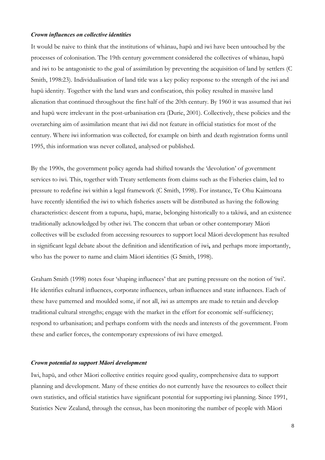# *Crown influences on collective identities*

It would be naive to think that the institutions of whänau, hapü and iwi have been untouched by the processes of colonisation. The 19th century government considered the collectives of whänau, hapü and iwi to be antagonistic to the goal of assimilation by preventing the acquisition of land by settlers (C Smith, 1998:23). Individualisation of land title was a key policy response to the strength of the iwi and hapü identity. Together with the land wars and confiscation, this policy resulted in massive land alienation that continued throughout the first half of the 20th century. By 1960 it was assumed that iwi and hapü were irrelevant in the post-urbanisation era (Durie, 2001). Collectively, these policies and the overarching aim of assimilation meant that iwi did not feature in official statistics for most of the century. Where iwi information was collected, for example on birth and death registration forms until 1995, this information was never collated, analysed or published.

By the 1990s, the government policy agenda had shifted towards the 'devolution' of government services to iwi*.* This, together with Treaty settlements from claims such as the Fisheries claim, led to pressure to redefine iwi within a legal framework (C Smith, 1998). For instance, Te Ohu Kaimoana have recently identified the iwi to which fisheries assets will be distributed as having the following characteristics: descent from a tupuna, hapü, marae, belonging historically to a takiwä, and an existence traditionally acknowledged by other iwi*.* The concern that urban or other contemporary Mäori collectives will be excluded from accessing resources to support local Mäori development has resulted in significant legal debate about the definition and identification of iwi, and perhaps more importantly, who has the power to name and claim Mäori identities (G Smith, 1998).

Graham Smith (1998) notes four 'shaping influences' that are putting pressure on the notion of 'iwi'. He identifies cultural influences, corporate influences, urban influences and state influences. Each of these have patterned and moulded some, if not all, iwi as attempts are made to retain and develop traditional cultural strengths; engage with the market in the effort for economic self-sufficiency; respond to urbanisation; and perhaps conform with the needs and interests of the government. From these and earlier forces, the contemporary expressions of iwi have emerged.

#### *Crown potential to support Mäori development*

Iwi, hapü, and other Mäori collective entities require good quality, comprehensive data to support planning and development. Many of these entities do not currently have the resources to collect their own statistics, and official statistics have significant potential for supporting iwi planning. Since 1991, Statistics New Zealand, through the census, has been monitoring the number of people with Mäori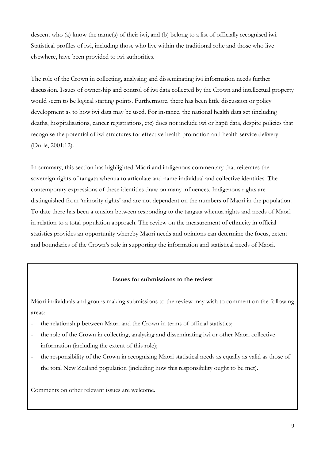descent who (a) know the name(s) of their iwi, and (b) belong to a list of officially recognised iwi. Statistical profiles of iwi, including those who live within the traditional rohe and those who live elsewhere, have been provided to iwi authorities.

The role of the Crown in collecting, analysing and disseminating iwi information needs further discussion. Issues of ownership and control of iwi data collected by the Crown and intellectual property would seem to be logical starting points. Furthermore, there has been little discussion or policy development as to how iwi data may be used. For instance, the national health data set (including deaths, hospitalisations, cancer registrations, etc) does not include iwi or hapü data, despite policies that recognise the potential of iwi structures for effective health promotion and health service delivery (Durie, 2001:12).

In summary, this section has highlighted Mäori and indigenous commentary that reiterates the sovereign rights of tangata whenua to articulate and name individual and collective identities. The contemporary expressions of these identities draw on many influences. Indigenous rights are distinguished from 'minority rights' and are not dependent on the numbers of Mäori in the population. To date there has been a tension between responding to the tangata whenua rights and needs of Mäori in relation to a total population approach. The review on the measurement of ethnicity in official statistics provides an opportunity whereby Mäori needs and opinions can determine the focus, extent and boundaries of the Crown's role in supporting the information and statistical needs of Mäori.

# Issues for submissions to the review

Mäori individuals and groups making submissions to the review may wish to comment on the following areas:

- the relationship between Māori and the Crown in terms of official statistics;
- the role of the Crown in collecting, analysing and disseminating iwi or other Mäori collective information (including the extent of this role);
- the responsibility of the Crown in recognising Māori statistical needs as equally as valid as those of the total New Zealand population (including how this responsibility ought to be met).

Comments on other relevant issues are welcome.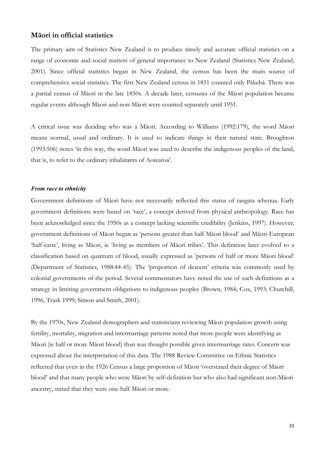# Mäori in official statistics

The primary aim of Statistics New Zealand is to produce timely and accurate official statistics on a range of economic and social matters of general importance to New Zealand (Statistics New Zealand, 2001). Since official statistics began in New Zealand, the census has been the main source of comprehensive social statistics. The first New Zealand census in 1851 counted only Päkehä. There was a partial census of Mäori in the late 1850s. A decade later, censuses of the Mäori population became regular events although Mäori and non-Mäori were counted separately until 1951.

A critical issue was deciding who was a Mäori. According to Williams (1992:179), the word Mäori means normal, usual and ordinary. It is used to indicate things in their natural state. Broughton (1993:506) notes 'in this way, the word Mäori was used to describe the indigenous peoples of the land, that is, to refer to the ordinary inhabitants of Aotearoa'.

#### *From race to ethnicity*

Government definitions of Mäori have not necessarily reflected this status of tangata whenua. Early government definitions were based on 'race', a concept derived from physical anthropology. Race has been acknowledged since the 1950s as a concept lacking scientific credibility (Jenkins, 1997). However, government definitions of Mäori began as 'persons greater than half Mäori blood' and Mäori-European 'half-caste', living as Mäori, ie 'living as members of Mäori tribes'. This definition later evolved to a classification based on quantum of blood, usually expressed as 'persons of half or more Mäori blood' (Department of Statistics, 1988:44-45). The 'proportion of descent' criteria was commonly used by colonial governments of the period. Several commentators have noted the use of such definitions as a strategy in limiting government obligations to indigenous peoples (Brown, 1984; Cox, 1993; Churchill, 1996, Trask 1999; Simon and Smith, 2001).

By the 1970s, New Zealand demographers and statisticians reviewing Mäori population growth using fertility, mortality, migration and intermarriage patterns noted that more people were identifying as Mäori (ie half or more Mäori blood) than was thought possible given intermarriage rates. Concern was expressed about the interpretation of this data. The 1988 Review Committee on Ethnic Statistics reflected that even in the 1926 Census a large proportion of Mäori 'overstated their degree of Mäori blood' and that many people who were Mäori by self-definition but who also had significant non-Mäori ancestry, stated that they were one-half Mäori or more.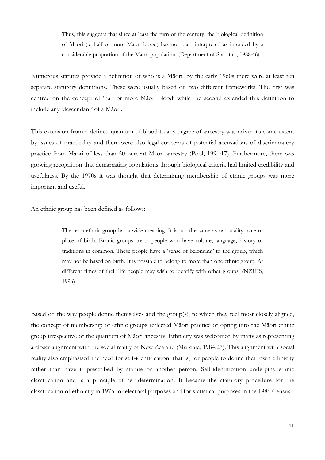Thus, this suggests that since at least the turn of the century, the biological definition of Mäori (ie half or more Mäori blood) has not been interpreted as intended by a considerable proportion of the Mäori population. (Department of Statistics, 1988:46)

Numerous statutes provide a definition of who is a Mäori. By the early 1960s there were at least ten separate statutory definitions. These were usually based on two different frameworks. The first was centred on the concept of 'half or more Mäori blood' while the second extended this definition to include any 'descendant' of a Mäori.

This extension from a defined quantum of blood to any degree of ancestry was driven to some extent by issues of practicality and there were also legal concerns of potential accusations of discriminatory practice from Mäori of less than 50 percent Mäori ancestry (Pool, 1991:17). Furthermore, there was growing recognition that demarcating populations through biological criteria had limited credibility and usefulness. By the 1970s it was thought that determining membership of ethnic groups was more important and useful.

An ethnic group has been defined as follows:

The term ethnic group has a wide meaning. It is not the same as nationality, race or place of birth. Ethnic groups are ... people who have culture, language, history or traditions in common. These people have a 'sense of belonging' to the group, which may not be based on birth. It is possible to belong to more than one ethnic group. At different times of their life people may wish to identify with other groups. (NZHIS, 1996)

Based on the way people define themselves and the group(s), to which they feel most closely aligned, the concept of membership of ethnic groups reflected Mäori practice of opting into the Mäori ethnic group irrespective of the quantum of Mäori ancestry. Ethnicity was welcomed by many as representing a closer alignment with the social reality of New Zealand (Murchie, 1984:27). This alignment with social reality also emphasised the need for self-identification, that is, for people to define their own ethnicity rather than have it prescribed by statute or another person. Self-identification underpins ethnic classification and is a principle of self-determination. It became the statutory procedure for the classification of ethnicity in 1975 for electoral purposes and for statistical purposes in the 1986 Census.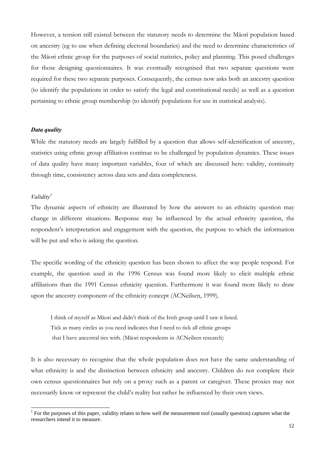However, a tension still existed between the statutory needs to determine the Mäori population based on ancestry (eg to use when defining electoral boundaries) and the need to determine characteristics of the Mäori ethnic group for the purposes of social statistics, policy and planning. This posed challenges for those designing questionnaires. It was eventually recognised that two separate questions were required for these two separate purposes. Consequently, the census now asks both an ancestry question (to identify the populations in order to satisfy the legal and constitutional needs) as well as a question pertaining to ethnic group membership (to identify populations for use in statistical analysis).

#### *Data quality*

While the statutory needs are largely fulfilled by a question that allows self-identification of ancestry, statistics using ethnic group affiliation continue to be challenged by population dynamics. These issues of data quality have many important variables, four of which are discussed here: validity, continuity through time, consistency across data sets and data completeness.

## *Validity1*

 $\overline{a}$ 

The dynamic aspects of ethnicity are illustrated by how the answers to an ethnicity question may change in different situations. Response may be influenced by the actual ethnicity question, the respondent's interpretation and engagement with the question, the purpose to which the information will be put and who is asking the question.

The specific wording of the ethnicity question has been shown to affect the way people respond. For example, the question used in the 1996 Census was found more likely to elicit multiple ethnic affiliations than the 1991 Census ethnicity question. Furthermore it was found more likely to draw upon the ancestry component of the ethnicity concept (ACNeilsen, 1999).

I think of myself as Mäori and didn't think of the Irish group until I saw it listed. Tick as many circles as you need indicates that I need to tick all ethnic groups that I have ancestral ties with. (Mäori respondents in ACNeilsen research)

It is also necessary to recognise that the whole population does not have the same understanding of what ethnicity is and the distinction between ethnicity and ancestry. Children do not complete their own census questionnaires but rely on a proxy such as a parent or caregiver. These proxies may not necessarily know or represent the child's reality but rather be influenced by their own views.

 $1$  For the purposes of this paper, validity relates to how well the measurement tool (usually question) captures what the researchers intend it to measure.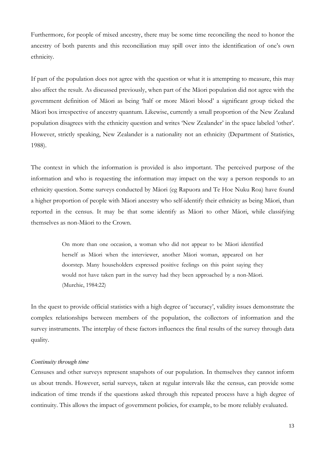Furthermore, for people of mixed ancestry, there may be some time reconciling the need to honor the ancestry of both parents and this reconciliation may spill over into the identification of one's own ethnicity.

If part of the population does not agree with the question or what it is attempting to measure, this may also affect the result. As discussed previously, when part of the Mäori population did not agree with the government definition of Mäori as being 'half or more Mäori blood' a significant group ticked the Mäori box irrespective of ancestry quantum. Likewise, currently a small proportion of the New Zealand population disagrees with the ethnicity question and writes 'New Zealander' in the space labeled 'other'. However, strictly speaking, New Zealander is a nationality not an ethnicity (Department of Statistics, 1988).

The context in which the information is provided is also important. The perceived purpose of the information and who is requesting the information may impact on the way a person responds to an ethnicity question. Some surveys conducted by Mäori (eg Rapuora and Te Hoe Nuku Roa) have found a higher proportion of people with Mäori ancestry who self-identify their ethnicity as being Mäori, than reported in the census. It may be that some identify as Mäori to other Mäori, while classifying themselves as non-Mäori to the Crown.

> On more than one occasion, a woman who did not appear to be Mäori identified herself as Mäori when the interviewer, another Mäori woman, appeared on her doorstep. Many householders expressed positive feelings on this point saying they would not have taken part in the survey had they been approached by a non-Mäori. (Murchie, 1984:22)

In the quest to provide official statistics with a high degree of 'accuracy', validity issues demonstrate the complex relationships between members of the population, the collectors of information and the survey instruments. The interplay of these factors influences the final results of the survey through data quality.

# *Continuity through time*

Censuses and other surveys represent snapshots of our population. In themselves they cannot inform us about trends. However, serial surveys, taken at regular intervals like the census, can provide some indication of time trends if the questions asked through this repeated process have a high degree of continuity. This allows the impact of government policies, for example, to be more reliably evaluated.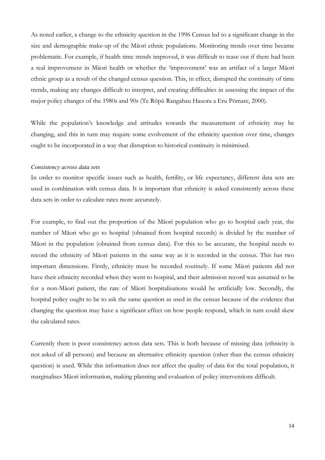As noted earlier, a change to the ethnicity question in the 1996 Census led to a significant change in the size and demographic make-up of the Mäori ethnic populations. Monitoring trends over time became problematic. For example, if health time trends improved, it was difficult to tease out if there had been a real improvement in Mäori health or whether the 'improvement' was an artifact of a larger Mäori ethnic group as a result of the changed census question. This, in effect, disrupted the continuity of time trends, making any changes difficult to interpret, and creating difficulties in assessing the impact of the major policy changes of the 1980s and 90s (Te Röpü Rangahau Hauora a Eru Pömare, 2000).

While the population's knowledge and attitudes towards the measurement of ethnicity may be changing, and this in turn may require some evolvement of the ethnicity question over time, changes ought to be incorporated in a way that disruption to historical continuity is minimised.

#### *Consistency across data sets*

In order to monitor specific issues such as health, fertility, or life expectancy, different data sets are used in combination with census data. It is important that ethnicity is asked consistently across these data sets in order to calculate rates more accurately.

For example, to find out the proportion of the Mäori population who go to hospital each year, the number of Mäori who go to hospital (obtained from hospital records) is divided by the number of Mäori in the population (obtained from census data). For this to be accurate, the hospital needs to record the ethnicity of Mäori patients in the same way as it is recorded in the census. This has two important dimensions. Firstly, ethnicity must be recorded routinely. If some Mäori patients did not have their ethnicity recorded when they went to hospital, and their admission record was assumed to be for a non-Mäori patient, the rate of Mäori hospitalisations would be artificially low. Secondly, the hospital policy ought to be to ask the same question as used in the census because of the evidence that changing the question may have a significant effect on how people respond, which in turn could skew the calculated rates.

Currently there is poor consistency across data sets. This is both because of missing data (ethnicity is not asked of all persons) and because an alternative ethnicity question (other than the census ethnicity question) is used. While this information does not affect the quality of data for the total population, it marginalises Mäori information, making planning and evaluation of policy interventions difficult.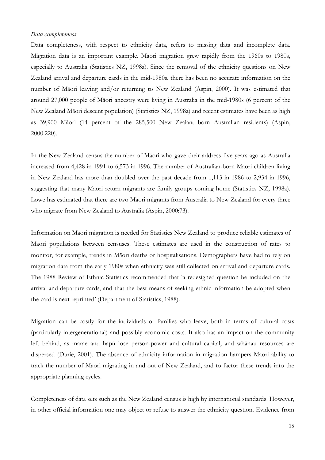# *Data completeness*

Data completeness, with respect to ethnicity data, refers to missing data and incomplete data. Migration data is an important example. Mäori migration grew rapidly from the 1960s to 1980s, especially to Australia (Statistics NZ, 1998a). Since the removal of the ethnicity questions on New Zealand arrival and departure cards in the mid-1980s, there has been no accurate information on the number of Mäori leaving and/or returning to New Zealand (Aspin, 2000). It was estimated that around 27,000 people of Mäori ancestry were living in Australia in the mid-1980s (6 percent of the New Zealand Mäori descent population) (Statistics NZ, 1998a) and recent estimates have been as high as 39,900 Mäori (14 percent of the 285,500 New Zealand-born Australian residents) (Aspin, 2000:220).

In the New Zealand census the number of Mäori who gave their address five years ago as Australia increased from 4,428 in 1991 to 6,573 in 1996. The number of Australian-born Mäori children living in New Zealand has more than doubled over the past decade from 1,113 in 1986 to 2,934 in 1996, suggesting that many Mäori return migrants are family groups coming home (Statistics NZ, 1998a). Lowe has estimated that there are two Mäori migrants from Australia to New Zealand for every three who migrate from New Zealand to Australia (Aspin, 2000:73).

Information on Mäori migration is needed for Statistics New Zealand to produce reliable estimates of Mäori populations between censuses. These estimates are used in the construction of rates to monitor, for example, trends in Mäori deaths or hospitalisations. Demographers have had to rely on migration data from the early 1980s when ethnicity was still collected on arrival and departure cards. The 1988 Review of Ethnic Statistics recommended that 'a redesigned question be included on the arrival and departure cards, and that the best means of seeking ethnic information be adopted when the card is next reprinted' (Department of Statistics, 1988).

Migration can be costly for the individuals or families who leave, both in terms of cultural costs (particularly intergenerational) and possibly economic costs. It also has an impact on the community left behind, as marae and hapü lose person-power and cultural capital, and whänau resources are dispersed (Durie, 2001). The absence of ethnicity information in migration hampers Mäori ability to track the number of Mäori migrating in and out of New Zealand, and to factor these trends into the appropriate planning cycles.

Completeness of data sets such as the New Zealand census is high by international standards. However, in other official information one may object or refuse to answer the ethnicity question. Evidence from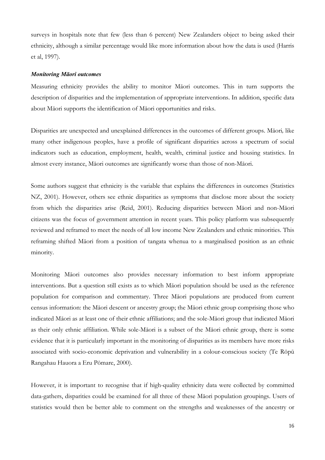surveys in hospitals note that few (less than 6 percent) New Zealanders object to being asked their ethnicity, although a similar percentage would like more information about how the data is used (Harris et al, 1997).

# *Monitoring Mäori outcomes*

Measuring ethnicity provides the ability to monitor Mäori outcomes. This in turn supports the description of disparities and the implementation of appropriate interventions. In addition, specific data about Mäori supports the identification of Mäori opportunities and risks.

Disparities are unexpected and unexplained differences in the outcomes of different groups. Mäori*,* like many other indigenous peoples, have a profile of significant disparities across a spectrum of social indicators such as education, employment, health, wealth, criminal justice and housing statistics. In almost every instance, Mäori outcomes are significantly worse than those of non-Mäori.

Some authors suggest that ethnicity is the variable that explains the differences in outcomes (Statistics NZ, 2001). However, others see ethnic disparities as symptoms that disclose more about the society from which the disparities arise (Reid, 2001). Reducing disparities between Mäori and non-Mäori citizens was the focus of government attention in recent years. This policy platform was subsequently reviewed and reframed to meet the needs of all low income New Zealanders and ethnic minorities. This reframing shifted Mäori from a position of tangata whenua to a marginalised position as an ethnic minority.

Monitoring Mäori outcomes also provides necessary information to best inform appropriate interventions. But a question still exists as to which Mäori population should be used as the reference population for comparison and commentary. Three Mäori populations are produced from current census information: the Mäori descent or ancestry group; the Mäori ethnic group comprising those who indicated Mäori as at least one of their ethnic affiliations; and the sole-Mäori group that indicated Mäori as their only ethnic affiliation. While sole-Mäori is a subset of the Mäori ethnic group, there is some evidence that it is particularly important in the monitoring of disparities as its members have more risks associated with socio-economic deprivation and vulnerability in a colour-conscious society (Te Röpü Rangahau Hauora a Eru Pömare, 2000).

However, it is important to recognise that if high-quality ethnicity data were collected by committed data-gathers, disparities could be examined for all three of these Mäori population groupings. Users of statistics would then be better able to comment on the strengths and weaknesses of the ancestry or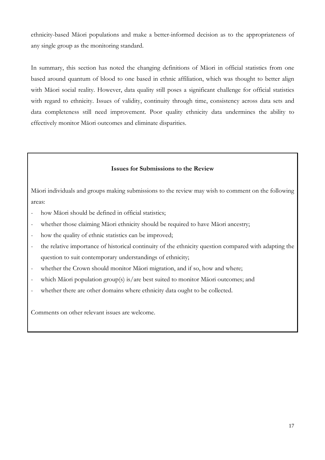ethnicity-based Mäori populations and make a better-informed decision as to the appropriateness of any single group as the monitoring standard.

In summary, this section has noted the changing definitions of Mäori in official statistics from one based around quantum of blood to one based in ethnic affiliation, which was thought to better align with Māori social reality. However, data quality still poses a significant challenge for official statistics with regard to ethnicity. Issues of validity, continuity through time, consistency across data sets and data completeness still need improvement. Poor quality ethnicity data undermines the ability to effectively monitor Mäori outcomes and eliminate disparities.

# Issues for Submissions to the Review

Mäori individuals and groups making submissions to the review may wish to comment on the following areas:

- how Māori should be defined in official statistics:
- whether those claiming Mäori ethnicity should be required to have Mäori ancestry;
- how the quality of ethnic statistics can be improved;
- the relative importance of historical continuity of the ethnicity question compared with adapting the question to suit contemporary understandings of ethnicity;
- whether the Crown should monitor Māori migration, and if so, how and where;
- which Mäori population group(s) is/are best suited to monitor Mäori outcomes; and
- whether there are other domains where ethnicity data ought to be collected.

Comments on other relevant issues are welcome.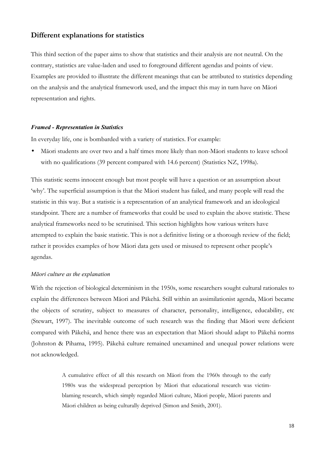# Different explanations for statistics

This third section of the paper aims to show that statistics and their analysis are not neutral. On the contrary, statistics are value-laden and used to foreground different agendas and points of view. Examples are provided to illustrate the different meanings that can be attributed to statistics depending on the analysis and the analytical framework used, and the impact this may in turn have on Mäori representation and rights.

#### *Framed - Representation in Statistics*

In everyday life, one is bombarded with a variety of statistics. For example:

• Mäori students are over two and a half times more likely than non-Mäori students to leave school with no qualifications (39 percent compared with 14.6 percent) (Statistics NZ, 1998a).

This statistic seems innocent enough but most people will have a question or an assumption about 'why'. The superficial assumption is that the Mäori student has failed, and many people will read the statistic in this way. But a statistic is a representation of an analytical framework and an ideological standpoint. There are a number of frameworks that could be used to explain the above statistic. These analytical frameworks need to be scrutinised. This section highlights how various writers have attempted to explain the basic statistic. This is not a definitive listing or a thorough review of the field; rather it provides examples of how Mäori data gets used or misused to represent other people's agendas.

#### *Mäori culture as the explanation*

With the rejection of biological determinism in the 1950s, some researchers sought cultural rationales to explain the differences between Mäori and Päkehä. Still within an assimilationist agenda, Mäori became the objects of scrutiny, subject to measures of character, personality, intelligence, educability, etc (Stewart, 1997). The inevitable outcome of such research was the finding that Mäori were deficient compared with Päkehä, and hence there was an expectation that Mäori should adapt to Päkehä norms (Johnston & Pihama, 1995). Päkehä culture remained unexamined and unequal power relations were not acknowledged.

> A cumulative effect of all this research on Mäori from the 1960s through to the early 1980s was the widespread perception by Mäori that educational research was victimblaming research, which simply regarded Mäori culture, Mäori people, Mäori parents and Mäori children as being culturally deprived (Simon and Smith, 2001).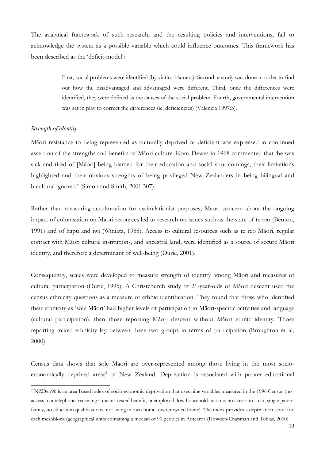The analytical framework of such research, and the resulting policies and interventions, fail to acknowledge the system as a possible variable which could influence outcomes. This framework has been described as the 'deficit-model':

> First, social problems were identified (by victim-blamers). Second, a study was done in order to find out how the disadvantaged and advantaged were different. Third, once the differences were identified, they were defined as the causes of the social problem. Fourth, governmental intervention was set in play to correct the differences (ie, deficiencies) (Valencia 1997:3).

# *Strength of identity*

 $\overline{a}$ 

Mäori resistance to being represented as culturally deprived or deficient was expressed in continued assertion of the strengths and benefits of Mäori culture. Koro Dewes in 1968 commented that 'he was sick and tired of [Mäori] being blamed for their education and social shortcomings, their limitations highlighted and their obvious strengths of being privileged New Zealanders in being bilingual and bicultural ignored.' (Simon and Smith, 2001:307)

Rather than measuring acculturation for assimilationist purposes, Mäori concern about the ongoing impact of colonisation on Mäori resources led to research on issues such as the state of te reo (Benton, 1991) and of hapü and iwi (Winiata, 1988). Access to cultural resources such as te reo Mäori, regular contact with Mäori cultural institutions, and ancestral land, were identified as a source of secure Mäori identity, and therefore a determinant of well-being (Durie, 2001).

Consequently, scales were developed to measure strength of identity among Mäori and measures of cultural participation (Durie, 1995). A Christchurch study of 21-year-olds of Mäori descent used the census ethnicity questions as a measure of ethnic identification. They found that those who identified their ethnicity as 'sole Mäori' had higher levels of participation in Mäori-specific activities and language (cultural participation), than those reporting Mäori descent without Mäori ethnic identity. Those reporting mixed ethnicity lay between these two groups in terms of participation (Broughton et al, 2000).

Census data shows that sole Mäori are over-represented among those living in the most socioeconomically deprived areas<sup>2</sup> of New Zealand. Deprivation is associated with poorer educational

<sup>2</sup> NZDep96 is an area-based index of socio-economic deprivation that uses nine variables measured in the 1996 Census (no access to a telephone, receiving a means-tested benefit, unemployed, low household income, no access to a car, single parent family, no education qualifications, not living in own home, overcrowded home). The index provides a deprivation score for each meshblock (geographical units containing a median of 90 people) in Aotearoa (Howden-Chapman and Tobias, 2000).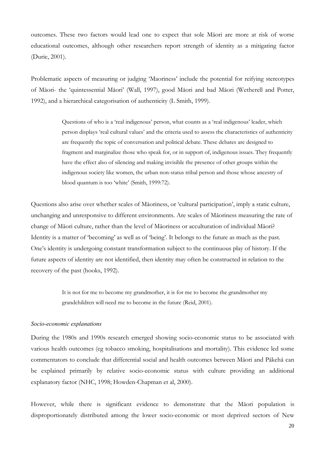outcomes. These two factors would lead one to expect that sole Mäori are more at risk of worse educational outcomes, although other researchers report strength of identity as a mitigating factor (Durie, 2001).

Problematic aspects of measuring or judging 'Maoriness' include the potential for reifying stereotypes of Mäori- the 'quintessential Mäori' (Wall, 1997), good Mäori and bad Mäori (Wetherell and Potter, 1992), and a hierarchical categorisation of authenticity (L Smith, 1999).

> Questions of who is a 'real indigenous' person, what counts as a 'real indigenous' leader, which person displays 'real cultural values' and the criteria used to assess the characteristics of authenticity are frequently the topic of conversation and political debate. These debates are designed to fragment and marginalize those who speak for, or in support of, indigenous issues. They frequently have the effect also of silencing and making invisible the presence of other groups within the indigenous society like women, the urban non-status tribal person and those whose ancestry of blood quantum is too 'white' (Smith, 1999:72).

Questions also arise over whether scales of Mäoriness, or 'cultural participation', imply a static culture, unchanging and unresponsive to different environments. Are scales of Mäoriness measuring the rate of change of Mäori culture, rather than the level of Mäoriness or acculturation of individual Mäori? Identity is a matter of 'becoming' as well as of 'being'. It belongs to the future as much as the past. One's identity is undergoing constant transformation subject to the continuous play of history. If the future aspects of identity are not identified, then identity may often be constructed in relation to the recovery of the past (hooks, 1992).

> It is not for me to become my grandmother, it is for me to become the grandmother my grandchildren will need me to become in the future (Reid, 2001).

#### *Socio-economic explanations*

During the 1980s and 1990s research emerged showing socio-economic status to be associated with various health outcomes (eg tobacco smoking, hospitalisations and mortality). This evidence led some commentators to conclude that differential social and health outcomes between Mäori and Päkehä can be explained primarily by relative socio-economic status with culture providing an additional explanatory factor (NHC, 1998; Howden-Chapman et al, 2000).

However, while there is significant evidence to demonstrate that the Mäori population is disproportionately distributed among the lower socio-economic or most deprived sectors of New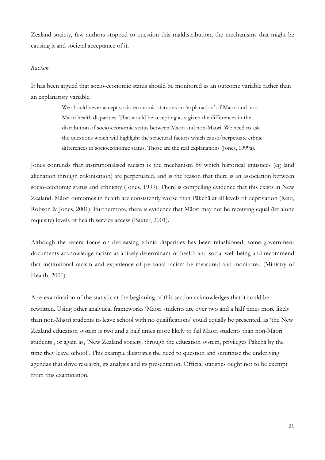Zealand society, few authors stopped to question this maldistribution, the mechanisms that might be causing it and societal acceptance of it.

## *Racism*

It has been argued that socio-economic status should be monitored as an outcome variable rather than an explanatory variable.

> We should never accept socio-economic status as an 'explanation' of Mäori and non-Mäori health disparities. That would be accepting as a given the differences in the distribution of socio-economic status between Mäori and non-Mäori. We need to ask the questions which will highlight the structural factors which cause/perpetuate ethnic differences in socioeconomic status. Those are the real explanations (Jones, 1999a).

Jones contends that institutionalised racism is the mechanism by which historical injustices (eg land alienation through colonisation) are perpetuated, and is the reason that there is an association between socio-economic status and ethnicity (Jones, 1999). There is compelling evidence that this exists in New Zealand. Mäori outcomes in health are consistently worse than Päkehä at all levels of deprivation (Reid, Robson & Jones, 2001). Furthermore, there is evidence that Mäori may not be receiving equal (let alone requisite) levels of health service access (Baxter, 2001).

Although the recent focus on decreasing ethnic disparities has been refashioned, some government documents acknowledge racism as a likely determinant of health and social well-being and recommend that institutional racism and experience of personal racism be measured and monitored (Ministry of Health, 2001).

A re-examination of the statistic at the beginning of this section acknowledges that it could be rewritten. Using other analytical frameworks 'Mäori students are over two and a half times more likely than non-Mäori students to leave school with no qualifications' could equally be presented, as 'the New Zealand education system is two and a half times more likely to fail Mäori students than non-Mäori students', or again as, 'New Zealand society, through the education system, privileges Päkehä by the time they leave school'. This example illustrates the need to question and scrutinise the underlying agendas that drive research, its analysis and its presentation. Official statistics ought not to be exempt from this examination.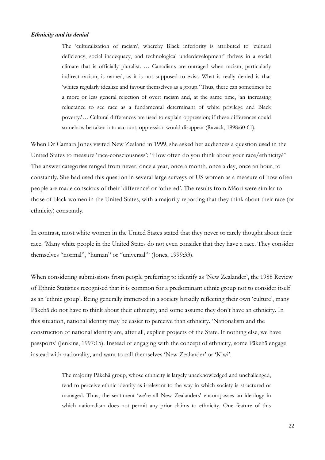# *Ethnicity and its denial*

The 'culturalization of racism', whereby Black inferiority is attributed to 'cultural deficiency, social inadequacy, and technological underdevelopment' thrives in a social climate that is officially pluralist. … Canadians are outraged when racism, particularly indirect racism, is named, as it is not supposed to exist. What is really denied is that 'whites regularly idealize and favour themselves as a group.' Thus, there can sometimes be a more or less general rejection of overt racism and, at the same time, 'an increasing reluctance to see race as a fundamental determinant of white privilege and Black poverty.'… Cultural differences are used to explain oppression; if these differences could somehow be taken into account, oppression would disappear (Razack, 1998:60-61).

When Dr Camara Jones visited New Zealand in 1999, she asked her audiences a question used in the United States to measure 'race-consciousness': "How often do you think about your race/ethnicity?" The answer categories ranged from never, once a year, once a month, once a day, once an hour, to constantly. She had used this question in several large surveys of US women as a measure of how often people are made conscious of their 'difference' or 'othered'. The results from Mäori were similar to those of black women in the United States, with a majority reporting that they think about their race (or ethnicity) constantly.

In contrast, most white women in the United States stated that they never or rarely thought about their race. 'Many white people in the United States do not even consider that they have a race. They consider themselves "normal", "human" or "universal"' (Jones, 1999:33).

When considering submissions from people preferring to identify as 'New Zealander', the 1988 Review of Ethnic Statistics recognised that it is common for a predominant ethnic group not to consider itself as an 'ethnic group'. Being generally immersed in a society broadly reflecting their own 'culture', many Päkehä do not have to think about their ethnicity, and some assume they don't have an ethnicity. In this situation, national identity may be easier to perceive than ethnicity. 'Nationalism and the construction of national identity are, after all, explicit projects of the State. If nothing else, we have passports' (Jenkins, 1997:15). Instead of engaging with the concept of ethnicity, some Päkehä engage instead with nationality, and want to call themselves 'New Zealander' or 'Kiwi'.

> The majority Päkehä group, whose ethnicity is largely unacknowledged and unchallenged, tend to perceive ethnic identity as irrelevant to the way in which society is structured or managed. Thus, the sentiment 'we're all New Zealanders' encompasses an ideology in which nationalism does not permit any prior claims to ethnicity. One feature of this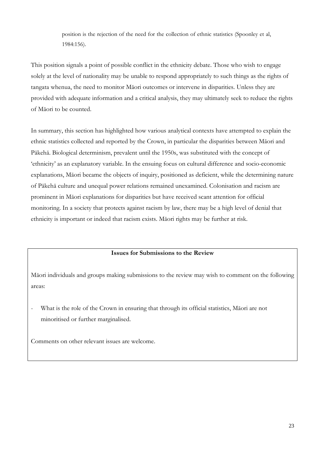position is the rejection of the need for the collection of ethnic statistics (Spoonley et al, 1984:156).

This position signals a point of possible conflict in the ethnicity debate. Those who wish to engage solely at the level of nationality may be unable to respond appropriately to such things as the rights of tangata whenua, the need to monitor Mäori outcomes or intervene in disparities. Unless they are provided with adequate information and a critical analysis, they may ultimately seek to reduce the rights of Mäori to be counted.

In summary, this section has highlighted how various analytical contexts have attempted to explain the ethnic statistics collected and reported by the Crown, in particular the disparities between Mäori and Päkehä. Biological determinism, prevalent until the 1950s, was substituted with the concept of 'ethnicity' as an explanatory variable. In the ensuing focus on cultural difference and socio-economic explanations, Mäori became the objects of inquiry, positioned as deficient, while the determining nature of Päkehä culture and unequal power relations remained unexamined. Colonisation and racism are prominent in Mäori explanations for disparities but have received scant attention for official monitoring. In a society that protects against racism by law, there may be a high level of denial that ethnicity is important or indeed that racism exists. Mäori rights may be further at risk.

# Issues for Submissions to the Review

Mäori individuals and groups making submissions to the review may wish to comment on the following areas:

What is the role of the Crown in ensuring that through its official statistics, Māori are not minoritised or further marginalised.

Comments on other relevant issues are welcome.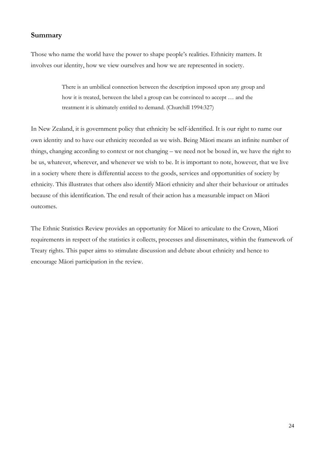# Summary

Those who name the world have the power to shape people's realities. Ethnicity matters. It involves our identity, how we view ourselves and how we are represented in society.

> There is an umbilical connection between the description imposed upon any group and how it is treated, between the label a group can be convinced to accept … and the treatment it is ultimately entitled to demand. (Churchill 1994:327)

In New Zealand, it is government policy that ethnicity be self-identified. It is our right to name our own identity and to have our ethnicity recorded as we wish. Being Mäori means an infinite number of things, changing according to context or not changing – we need not be boxed in, we have the right to be us, whatever, wherever, and whenever we wish to be. It is important to note, however, that we live in a society where there is differential access to the goods, services and opportunities of society by ethnicity. This illustrates that others also identify Mäori ethnicity and alter their behaviour or attitudes because of this identification. The end result of their action has a measurable impact on Mäori outcomes.

The Ethnic Statistics Review provides an opportunity for Mäori to articulate to the Crown, Mäori requirements in respect of the statistics it collects, processes and disseminates, within the framework of Treaty rights. This paper aims to stimulate discussion and debate about ethnicity and hence to encourage Mäori participation in the review.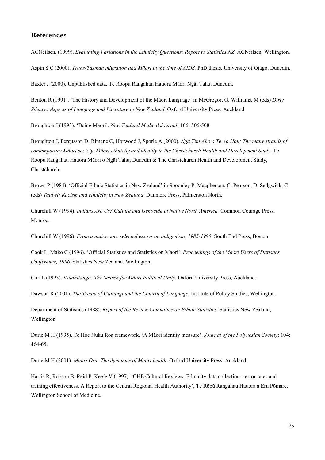# References

ACNeilsen. (1999). *Evaluating Variations in the Ethnicity Questions: Report to Statistics NZ*. ACNeilsen, Wellington.

Aspin S C (2000). *Trans-Tasman migration and Mäori in the time of AIDS.* PhD thesis. University of Otago, Dunedin.

Baxter J (2000). Unpublished data. Te Roopu Rangahau Hauora Mäori Ngäi Tahu, Dunedin.

Benton R (1991). 'The History and Development of the Mäori Language' in McGregor, G, Williams, M (eds) *Dirty Silence: Aspects of Language and Literature in New Zealand.* Oxford University Press, Auckland.

Broughton J (1993). 'Being Mäori'. *New Zealand Medical Journal*: 106; 506-508.

Broughton J, Fergusson D, Rimene C, Horwood J, Sporle A (2000). *Ngä Tini Aho o Te Ao Hou: The many strands of contemporary Mäori society. Mäori ethnicity and identity in the Christchurch Health and Development Study.* Te Roopu Rangahau Hauora Mäori o Ngäi Tahu, Dunedin & The Christchurch Health and Development Study, Christchurch.

Brown P (1984). 'Official Ethnic Statistics in New Zealand' in Spoonley P, Macpherson, C, Pearson, D, Sedgwick, C (eds) *Tauiwi: Racism and ethnicity in New Zealand*. Dunmore Press, Palmerston North.

Churchill W (1994). *Indians Are Us? Culture and Genocide in Native North America.* Common Courage Press, Monroe.

Churchill W (1996). *From a native son: selected essays on indigenism, 1985-1995*. South End Press, Boston

Cook L, Mako C (1996). 'Official Statistics and Statistics on Mäori'. *Proceedings of the Mäori Users of Statistics Conference, 1996.* Statistics New Zealand, Wellington.

Cox L (1993). *Kotahitanga: The Search for Mäori Political Unity.* Oxford University Press, Auckland.

Dawson R (2001). *The Treaty of Waitangi and the Control of Language*. Institute of Policy Studies, Wellington.

Department of Statistics (1988). *Report of the Review Committee on Ethnic Statistics*. Statistics New Zealand, Wellington.

Durie M H (1995). Te Hoe Nuku Roa framework. 'A Mäori identity measure'. *Journal of the Polynesian Society*: 104: 464-65.

Durie M H (2001). *Mauri Ora: The dynamics of Mäori health.* Oxford University Press, Auckland.

Harris R, Robson B, Reid P, Keefe V (1997). 'CHE Cultural Reviews: Ethnicity data collection – error rates and training effectiveness. A Report to the Central Regional Health Authority', Te Röpü Rangahau Hauora a Eru Pömare, Wellington School of Medicine.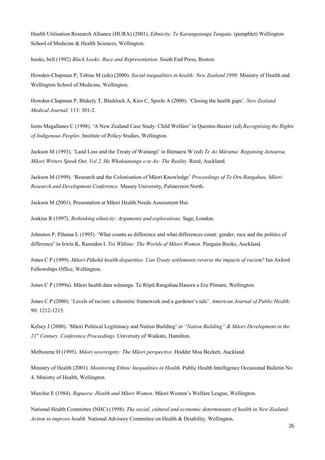Health Utilisation Research Alliance (HURA) (2001). *Ethnicity. Te Karangatanga Tangata.* (pamphlet) Wellington School of Medicine & Health Sciences, Wellington.

hooks, bell (1992) *Black Looks: Race and Representation*. South End Press, Boston.

Howden-Chapman P, Tobias M (eds) (2000). *Social inequalities in health: New Zealand 1999.* Ministry of Health and Wellington School of Medicine, Wellington.

Howden-Chapman P, Blakely T, Blaiklock A, Kiro C, Sporle A (2000). 'Closing the health gaps'. *New Zealand Medical Journal:* 113: 301-2.

Iorns Magallanes C (1998). 'A New Zealand Case Study: Child Welfare' in Quentin-Baxter (ed) *Recognising the Rights of Indigenous Peoples*. Institute of Policy Studies, Wellington.

Jackson M (1993). 'Land Loss and the Treaty of Waitangi' in Ihimaera W (ed) *Te Ao Märama: Regaining Aotearoa. Mäori Writers Speak Out*. *Vol 2. He Whakaatanga o te Ao: The Reality*. Reed, Auckland.

Jackson M (1999). 'Research and the Colonisation of Mäori Knowledge' *Proceedings of Te Oru Rangahau, Mäori Research and Development Conference.* Massey University, Palmerston North.

Jackson M (2001). Presentation at Mäori Health Needs Assessment Hui.

Jenkins R (1997). *Rethinking ethnicity: Arguments and explorations.* Sage, London.

Johnston P, Pihama L (1995). 'What counts as difference and what differences count: gender, race and the politics of difference' in Irwin K, Ramsden I. *Toi Wähine: The Worlds of Mäori Women.* Penguin Books, Auckland.

Jones C P (1999). *Mäori-Päkehä health disparities: Can Treaty settlements reverse the impacts of racism?* Ian Axford Fellowships Office, Wellington.

Jones C P (1999a). Mäori health data wänanga. Te Röpü Rangahau Hauora a Eru Pömare, Wellington.

Jones C P (2000). 'Levels of racism: a theoretic framework and a gardener's tale'. *American Journal of Public Health*: 90: 1212-1215.

Kelsey J (2000). 'Mäori Political Legitimacy and Nation Building' *in "Nation Building" & Mäori Development in the 21st Century. Conference Proceedings*. University of Waikato, Hamilton.

Melbourne H (1995). *Mäori sovereignty: The Mäori perspective*. Hodder Moa Beckett, Auckland.

Ministry of Health (2001). *Monitoring Ethnic Inequalities in Health.* Public Health Intelligence Occasional Bulletin No 4. Ministry of Health, Wellington.

Murchie E (1984). *Rapuora: Health and Mäori Women.* Mäori Women's Welfare League, Wellington.

National Health Committee (NHC) (1998). *The social, cultural and economic determinants of health in New Zealand: Action to improve health.* National Advisory Committee on Health & Disability, Wellington.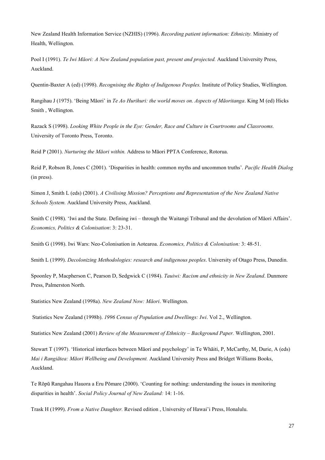New Zealand Health Information Service (NZHIS) (1996). *Recording patient information: Ethnicity.* Ministry of Health, Wellington.

Pool I (1991). *Te Iwi Mäori: A New Zealand population past, present and projected.* Auckland University Press, Auckland.

Quentin-Baxter A (ed) (1998). *Recognising the Rights of Indigenous Peoples.* Institute of Policy Studies, Wellington.

Rangihau J (1975). 'Being Mäori' in *Te Ao Hurihuri: the world moves on. Aspects of Mäoritanga*. King M (ed) Hicks Smith , Wellington.

Razack S (1998). *Looking White People in the Eye: Gender, Race and Culture in Courtrooms and Classrooms.* University of Toronto Press, Toronto.

Reid P (2001). *Nurturing the Mäori within.* Address to Mäori PPTA Conference, Rotorua.

Reid P, Robson B, Jones C (2001). 'Disparities in health: common myths and uncommon truths'. *Pacific Health Dialog* (in press).

Simon J, Smith L (eds) (2001). *A Civilising Mission? Perceptions and Representation of the New Zealand Native Schools System.* Auckland University Press, Auckland.

Smith C (1998). 'Iwi and the State. Defining iwi – through the Waitangi Tribunal and the devolution of Mäori Affairs'. *Economics, Politics & Colonisation*: 3: 23-31.

Smith G (1998). Iwi Wars: Neo-Colonisation in Aotearoa. *Economics, Politics & Colonisation:* 3: 48-51.

Smith L (1999). *Decolonizing Methodologies: research and indigenous peoples*. University of Otago Press, Dunedin.

Spoonley P, Macpherson C, Pearson D, Sedgwick C (1984). *Tauiwi: Racism and ethnicity in New Zealand*. Dunmore Press, Palmerston North.

Statistics New Zealand (1998a). *New Zealand Now: Mäori*. Wellington.

Statistics New Zealand (1998b). *1996 Census of Population and Dwellings: Iwi*. Vol 2., Wellington.

Statistics New Zealand (2001) *Review of the Measurement of Ethnicity – Background Paper.* Wellington, 2001.

Stewart T (1997). 'Historical interfaces between Mäori and psychology' in Te Whäiti, P, McCarthy, M, Durie, A (eds) *Mai i Rangiätea: Mäori Wellbeing and Development.* Auckland University Press and Bridget Williams Books, Auckland.

Te Röpü Rangahau Hauora a Eru Pömare (2000). 'Counting for nothing: understanding the issues in monitoring disparities in health'. *Social Policy Journal of New Zealand:* 14: 1-16.

Trask H (1999). *From a Native Daughter.* Revised edition , University of Hawai'i Press, Honalulu.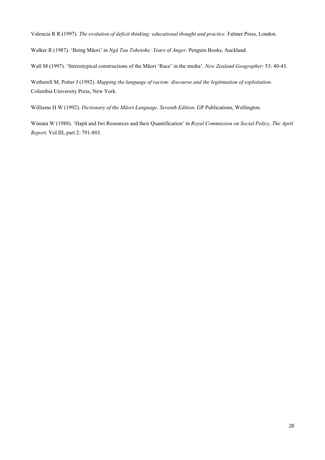Valencia R R (1997). *The evolution of deficit thinking: educational thought and practice.* Falmer Press, London.

Walker R (1987). 'Being Mäori' in *Ngä Tau Tohetohe: Years of Anger.* Penguin Books, Auckland.

Wall M (1997). 'Stereotypical constructions of the Mäori 'Race' in the media'. *New Zealand Geographer*: 53: 40-45.

Wetherell M, Potter J (1992). *Mapping the language of racism: discourse and the legitimation of exploitation.* Columbia University Press, New York.

Williams H W (1992). *Dictionary of the Mäori Language, Seventh Edition*. GP Publications, Wellington.

Winiata W (1988). 'Hapü and Iwi Resources and their Quantification' in *Royal Commission on Social Policy, The April Report,* Vol III, part 2: 791-803.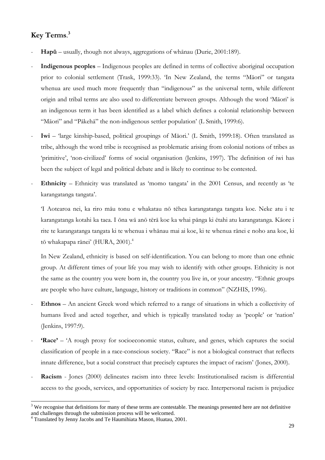# Key Terms. 3

- Hapū usually, though not always, aggregations of whānau (Durie, 2001:189).
- Indigenous peoples Indigenous peoples are defined in terms of collective aboriginal occupation prior to colonial settlement (Trask, 1999:33). 'In New Zealand, the terms "Mäori" or tangata whenua are used much more frequently than "indigenous" as the universal term, while different origin and tribal terms are also used to differentiate between groups. Although the word 'Mäori' is an indigenous term it has been identified as a label which defines a colonial relationship between "Mäori" and "Päkehä" the non-indigenous settler population' (L Smith, 1999:6).
- Iwi 'large kinship-based, political groupings of Māori.' (L Smith, 1999:18). Often translated as tribe, although the word tribe is recognised as problematic arising from colonial notions of tribes as 'primitive', 'non-civilized' forms of social organisation (Jenkins, 1997). The definition of iwi has been the subject of legal and political debate and is likely to continue to be contested.
- Ethnicity Ethnicity was translated as 'momo tangata' in the 2001 Census, and recently as 'te karangatanga tangata'.

'I Aotearoa nei, ka riro mäu tonu e whakatau nö tëhea karangatanga tangata koe. Neke atu i te karangatanga kotahi ka taea. I öna wä anö tërä koe ka whai pänga ki ëtahi atu karangatanga. Käore i rite te karangatanga tangata ki te whenua i whänau mai ai koe, ki te whenua ränei e noho ana koe, ki tō whakapapa rānei' (HURA, 2001).<sup>4</sup>

In New Zealand, ethnicity is based on self-identification. You can belong to more than one ethnic group. At different times of your life you may wish to identify with other groups. Ethnicity is not the same as the country you were born in, the country you live in, or your ancestry. "Ethnic groups are people who have culture, language, history or traditions in common" (NZHIS, 1996).

- Ethnos An ancient Greek word which referred to a range of situations in which a collectivity of humans lived and acted together, and which is typically translated today as 'people' or 'nation' (Jenkins, 1997:9).
- 'Race' 'A rough proxy for socioeconomic status, culture, and genes, which captures the social classification of people in a race-conscious society. "Race" is not a biological construct that reflects innate difference, but a social construct that precisely captures the impact of racism' (Jones, 2000).
- Racism Jones (2000) delineates racism into three levels: Institutionalised racism is differential access to the goods, services, and opportunities of society by race. Interpersonal racism is prejudice

 $\overline{a}$  $3$  We recognise that definitions for many of these terms are contestable. The meanings presented here are not definitive and challenges through the submission process will be welcomed.

<sup>4</sup> Translated by Jenny Jacobs and Te Haumihiata Mason, Huatau, 2001.